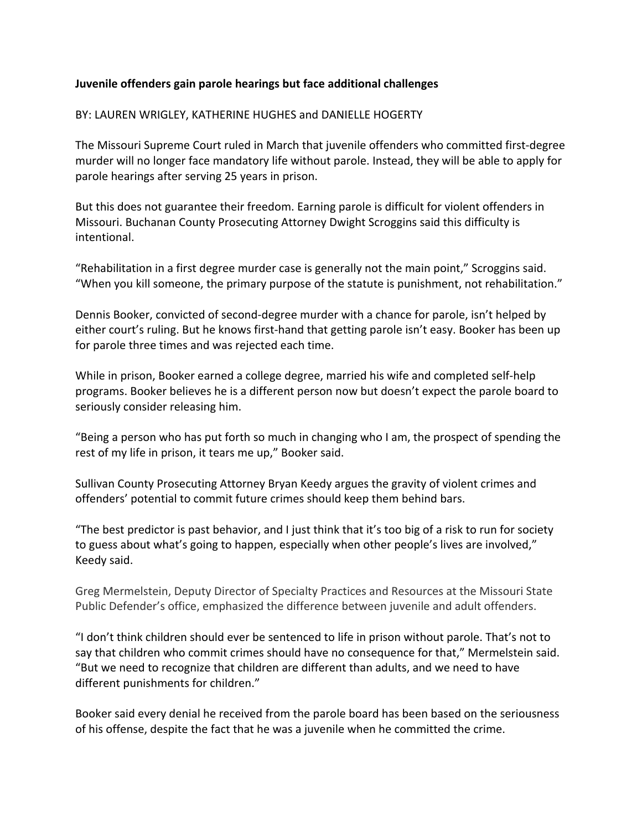## **Juvenile offenders gain parole hearings but face additional challenges**

## BY: LAUREN WRIGLEY, KATHERINE HUGHES and DANIELLE HOGERTY

The Missouri Supreme Court ruled in March that juvenile offenders who committed first-degree murder will no longer face mandatory life without parole. Instead, they will be able to apply for parole hearings after serving 25 years in prison.

But this does not guarantee their freedom. Earning parole is difficult for violent offenders in Missouri. Buchanan County Prosecuting Attorney Dwight Scroggins said this difficulty is intentional. 

"Rehabilitation in a first degree murder case is generally not the main point," Scroggins said. "When you kill someone, the primary purpose of the statute is punishment, not rehabilitation."

Dennis Booker, convicted of second-degree murder with a chance for parole, isn't helped by either court's ruling. But he knows first-hand that getting parole isn't easy. Booker has been up for parole three times and was rejected each time.

While in prison, Booker earned a college degree, married his wife and completed self-help programs. Booker believes he is a different person now but doesn't expect the parole board to seriously consider releasing him.

"Being a person who has put forth so much in changing who I am, the prospect of spending the rest of my life in prison, it tears me up," Booker said.

Sullivan County Prosecuting Attorney Bryan Keedy argues the gravity of violent crimes and offenders' potential to commit future crimes should keep them behind bars.

"The best predictor is past behavior, and I just think that it's too big of a risk to run for society to guess about what's going to happen, especially when other people's lives are involved," Keedy said.

Greg Mermelstein, Deputy Director of Specialty Practices and Resources at the Missouri State Public Defender's office, emphasized the difference between juvenile and adult offenders.

"I don't think children should ever be sentenced to life in prison without parole. That's not to say that children who commit crimes should have no consequence for that," Mermelstein said. "But we need to recognize that children are different than adults, and we need to have different punishments for children."

Booker said every denial he received from the parole board has been based on the seriousness of his offense, despite the fact that he was a juvenile when he committed the crime.